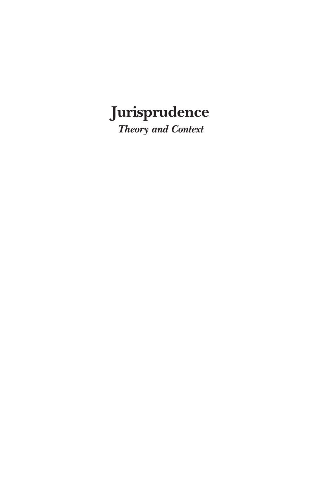# **Jurisprudence**

*Theory and Context*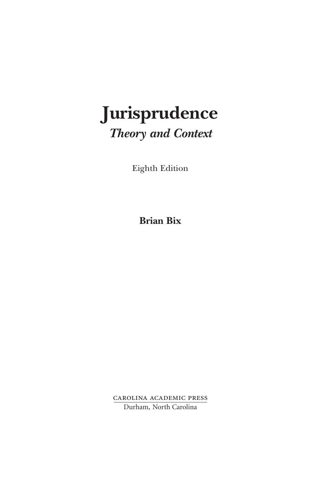# **Jurisprudence** *Theory and Context*

Eighth Edition

**Brian Bix**

carolina academic press Durham, North Carolina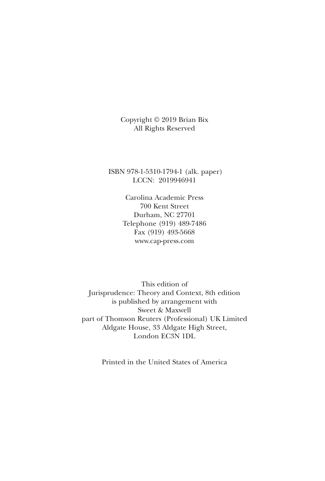Copyright © 2019 Brian Bix All Rights Reserved

### ISBN 978-1-5310-1794-1 (alk. paper) LCCN: 2019946941

Carolina Academic Press 700 Kent Street Durham, NC 27701 Telephone (919) 489-7486 Fax (919) 493-5668 www.cap-press.com

This edition of Jurisprudence: Theory and Context, 8th edition is published by arrangement with Sweet & Maxwell part of Thomson Reuters (Professional) UK Limited Aldgate House, 33 Aldgate High Street, London EC3N 1DL

Printed in the United States of America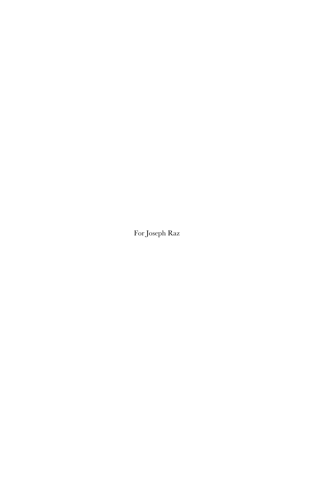For Joseph Raz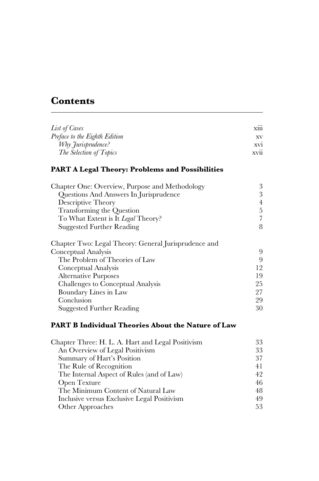## **Contents**

| List of Cases                                             | xiii           |
|-----------------------------------------------------------|----------------|
| Preface to the Eighth Edition                             | XV.            |
| Why Jurisprudence?                                        | XV1            |
| The Selection of Topics                                   | xvii           |
| <b>PART A Legal Theory: Problems and Possibilities</b>    |                |
| Chapter One: Overview, Purpose and Methodology            | 3              |
| Questions And Answers In Jurisprudence                    | 3              |
| Descriptive Theory                                        | $\overline{4}$ |
| Transforming the Question                                 | $\overline{5}$ |
| To What Extent is It Legal Theory?                        | $\overline{7}$ |
| <b>Suggested Further Reading</b>                          | 8              |
| Chapter Two: Legal Theory: General Jurisprudence and      |                |
| Conceptual Analysis                                       | 9              |
| The Problem of Theories of Law                            | 9              |
| Conceptual Analysis                                       | 12             |
| <b>Alternative Purposes</b>                               | 19             |
| Challenges to Conceptual Analysis                         | 25             |
| Boundary Lines in Law                                     | 27             |
| Conclusion                                                | 29             |
| <b>Suggested Further Reading</b>                          | 30             |
|                                                           |                |
| <b>PART B Individual Theories About the Nature of Law</b> |                |
|                                                           |                |

| Chapter Three: H. L. A. Hart and Legal Positivism | 33 |
|---------------------------------------------------|----|
| An Overview of Legal Positivism                   | 33 |
| Summary of Hart's Position                        | 37 |
| The Rule of Recognition                           | 41 |
| The Internal Aspect of Rules (and of Law)         | 42 |
| Open Texture                                      | 46 |
| The Minimum Content of Natural Law                | 48 |
| Inclusive versus Exclusive Legal Positivism       | 49 |
| <b>Other Approaches</b>                           | 53 |
|                                                   |    |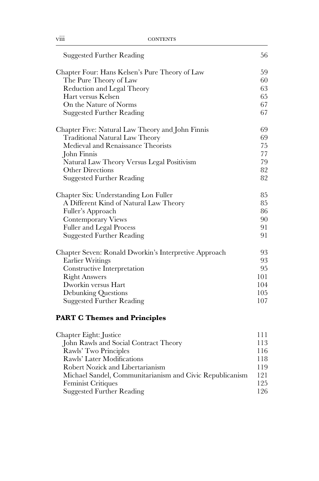| <b>Suggested Further Reading</b>                         | 56  |
|----------------------------------------------------------|-----|
| Chapter Four: Hans Kelsen's Pure Theory of Law           | 59  |
| The Pure Theory of Law                                   | 60  |
| Reduction and Legal Theory                               | 63  |
| Hart versus Kelsen                                       | 65  |
| On the Nature of Norms                                   | 67  |
| <b>Suggested Further Reading</b>                         | 67  |
| Chapter Five: Natural Law Theory and John Finnis         | 69  |
| <b>Traditional Natural Law Theory</b>                    | 69  |
| Medieval and Renaissance Theorists                       | 75  |
| John Finnis                                              | 77  |
| Natural Law Theory Versus Legal Positivism               | 79  |
| <b>Other Directions</b>                                  | 82  |
| <b>Suggested Further Reading</b>                         | 82  |
| Chapter Six: Understanding Lon Fuller                    | 85  |
| A Different Kind of Natural Law Theory                   | 85  |
| Fuller's Approach                                        | 86  |
| <b>Contemporary Views</b>                                | 90  |
| Fuller and Legal Process                                 | 91  |
| <b>Suggested Further Reading</b>                         | 91  |
| Chapter Seven: Ronald Dworkin's Interpretive Approach    | 93  |
| <b>Earlier Writings</b>                                  | 93  |
| Constructive Interpretation                              | 95  |
| <b>Right Answers</b>                                     | 101 |
| Dworkin versus Hart                                      | 104 |
| Debunking Questions                                      | 105 |
| <b>Suggested Further Reading</b>                         | 107 |
| <b>PART C Themes and Principles</b>                      |     |
| Chapter Eight: Justice                                   | 111 |
| John Rawls and Social Contract Theory                    | 113 |
| Rawls' Two Principles                                    | 116 |
| Rawls' Later Modifications                               | 118 |
| Robert Nozick and Libertarianism                         | 119 |
| Michael Sandel, Communitarianism and Civic Republicanism | 121 |
| Feminist Critiques                                       | 125 |
| <b>Suggested Further Reading</b>                         | 126 |
|                                                          |     |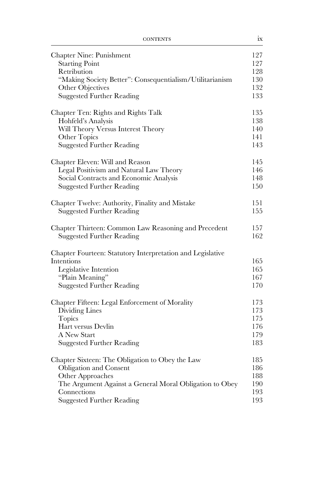| <b>Chapter Nine: Punishment</b>                                                                                                                          | 127                      |
|----------------------------------------------------------------------------------------------------------------------------------------------------------|--------------------------|
| <b>Starting Point</b>                                                                                                                                    | 127                      |
| Retribution                                                                                                                                              | 128                      |
| "Making Society Better": Consequentialism/Utilitarianism                                                                                                 | 130                      |
| Other Objectives                                                                                                                                         | 132                      |
| <b>Suggested Further Reading</b>                                                                                                                         | 133                      |
| Chapter Ten: Rights and Rights Talk                                                                                                                      | 135                      |
| Hohfeld's Analysis                                                                                                                                       | 138                      |
| Will Theory Versus Interest Theory                                                                                                                       | 140                      |
| Other Topics                                                                                                                                             | 141                      |
| <b>Suggested Further Reading</b>                                                                                                                         | 143                      |
| Chapter Eleven: Will and Reason                                                                                                                          | 145                      |
| Legal Positivism and Natural Law Theory                                                                                                                  | 146                      |
| Social Contracts and Economic Analysis                                                                                                                   | 148                      |
| <b>Suggested Further Reading</b>                                                                                                                         | 150                      |
| Chapter Twelve: Authority, Finality and Mistake                                                                                                          | 151                      |
| <b>Suggested Further Reading</b>                                                                                                                         | 155                      |
| Chapter Thirteen: Common Law Reasoning and Precedent                                                                                                     | 157                      |
| <b>Suggested Further Reading</b>                                                                                                                         | 162                      |
| Chapter Fourteen: Statutory Interpretation and Legislative<br>Intentions<br>Legislative Intention<br>"Plain Meaning"<br><b>Suggested Further Reading</b> | 165<br>165<br>167<br>170 |
| Chapter Fifteen: Legal Enforcement of Morality                                                                                                           | 173                      |
| Dividing Lines                                                                                                                                           | 173                      |
| <b>Topics</b>                                                                                                                                            | 175                      |
| Hart versus Devlin                                                                                                                                       | 176                      |
| A New Start                                                                                                                                              | 179                      |
| <b>Suggested Further Reading</b>                                                                                                                         | 183                      |
| Chapter Sixteen: The Obligation to Obey the Law                                                                                                          | 185                      |
| Obligation and Consent                                                                                                                                   | 186                      |
| Other Approaches                                                                                                                                         | 188                      |
| The Argument Against a General Moral Obligation to Obey                                                                                                  | 190                      |
| Connections                                                                                                                                              | 193                      |
| <b>Suggested Further Reading</b>                                                                                                                         | 193                      |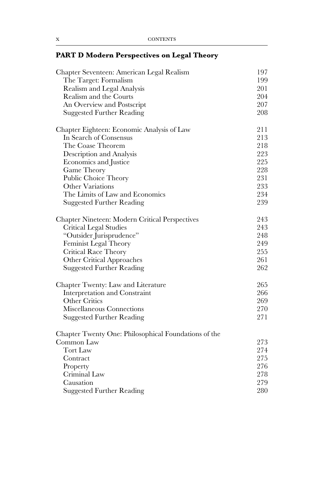## **PART D Modern Perspectives on Legal Theory**

| Chapter Seventeen: American Legal Realism            | 197 |
|------------------------------------------------------|-----|
| The Target: Formalism                                | 199 |
| Realism and Legal Analysis                           | 201 |
| Realism and the Courts                               | 204 |
| An Overview and Postscript                           | 207 |
| <b>Suggested Further Reading</b>                     | 208 |
| Chapter Eighteen: Economic Analysis of Law           | 211 |
| In Search of Consensus                               | 213 |
| The Coase Theorem                                    | 218 |
| Description and Analysis                             | 223 |
| Economics and Justice                                | 225 |
| Game Theory                                          | 228 |
| Public Choice Theory                                 | 231 |
| Other Variations                                     | 233 |
| The Limits of Law and Economics                      | 234 |
| <b>Suggested Further Reading</b>                     | 239 |
| Chapter Nineteen: Modern Critical Perspectives       | 243 |
| Critical Legal Studies                               | 243 |
| "Outsider Jurisprudence"                             | 248 |
| Feminist Legal Theory                                | 249 |
| Critical Race Theory                                 | 255 |
| <b>Other Critical Approaches</b>                     | 261 |
| <b>Suggested Further Reading</b>                     | 262 |
| Chapter Twenty: Law and Literature                   | 265 |
| Interpretation and Constraint                        | 266 |
| <b>Other Critics</b>                                 | 269 |
| Miscellaneous Connections                            | 270 |
| <b>Suggested Further Reading</b>                     | 271 |
| Chapter Twenty One: Philosophical Foundations of the |     |
| Common Law                                           | 273 |
| <b>Tort Law</b>                                      | 274 |
| Contract                                             | 275 |
| Property                                             | 276 |
| Criminal Law                                         | 278 |
| Causation                                            | 279 |
| <b>Suggested Further Reading</b>                     | 280 |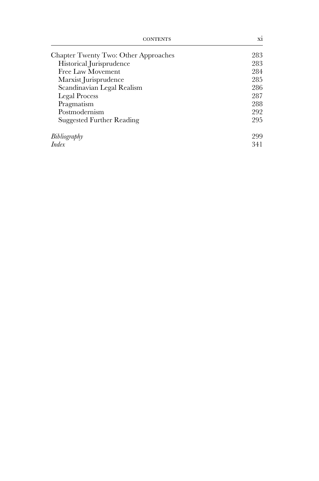| Chapter Twenty Two: Other Approaches | 283 |
|--------------------------------------|-----|
| Historical Jurisprudence             | 283 |
| Free Law Movement                    | 284 |
| Marxist Jurisprudence                | 285 |
| Scandinavian Legal Realism           | 286 |
| <b>Legal Process</b>                 | 287 |
| Pragmatism                           | 288 |
| Postmodernism                        | 292 |
| Suggested Further Reading            | 295 |
| Bibliography                         | 299 |
| Index                                | 341 |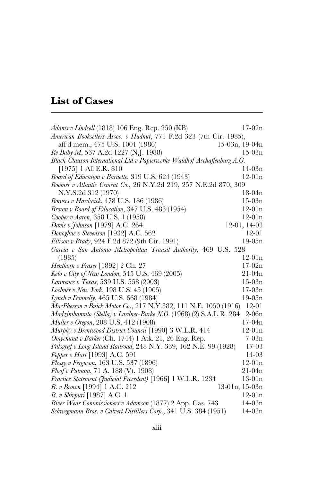# **List of Cases**

| Adams v Lindsell (1818) 106 Eng. Rep. 250 (KB)                           | $17-02n$       |
|--------------------------------------------------------------------------|----------------|
| American Booksellers Assoc. v Hudnut, 771 F.2d 323 (7th Cir. 1985),      |                |
| aff'd mem., 475 U.S. 1001 (1986)                                         | 15-03n, 19-04n |
| Re Baby M, 537 A.2d 1227 (N.J. 1988)                                     | $15-03n$       |
| Black-Clauson International Ltd v Papierwerke Waldhof-Aschaffenburg A.G. |                |
| $[1975]$ 1 All E.R. 810                                                  | $14 - 03n$     |
| Board of Education v Barnette, 319 U.S. 624 (1943)                       | $12-01n$       |
| Boomer v Atlantic Cement Co., 26 N.Y.2d 219, 257 N.E.2d 870, 309         |                |
| N.Y.S.2d 312 (1970)                                                      | $18-04n$       |
| Bowers v Hardwick, 478 U.S. 186 (1986)                                   | $15-03n$       |
| Brown v Board of Education, 347 U.S. 483 (1954)                          | $12 - 01n$     |
| Cooper v Aaron, 358 U.S. 1 (1958)                                        | $12-01n$       |
| Davis v Johnson [1979] A.C. 264                                          | 12-01, 14-03   |
| Donoghue v Stevenson [1932] A.C. 562                                     | 12-01          |
| Ellison v Brady, 924 F.2d 872 (9th Cir. 1991)                            | $19-05n$       |
| Garcia v San Antonio Metropolitan Transit Authority, 469 U.S. 528        |                |
| (1985)                                                                   | $12-01n$       |
| Henthorn v Fraser [1892] 2 Ch. 27                                        | $17-02n$       |
| Kelo v City of New London, 545 U.S. 469 (2005)                           | $21-04n$       |
| Lawrence v Texas, 539 U.S. 558 (2003)                                    | $15-03n$       |
| Lochner v New York, 198 U.S. 45 (1905)                                   | $17-03n$       |
| Lynch v Donnelly, 465 U.S. 668 (1984)                                    | $19-05n$       |
| MacPherson v Buick Motor Co., 217 N.Y.382, 111 N.E. 1050 (1916)          | $12 - 01$      |
| Madzimbamuto (Stella) v Lardner-Burke N.O. (1968) (2) S.A.L.R. 284       | $2-06n$        |
| Muller v Oregon, 208 U.S. 412 (1908)                                     | 17-04n         |
| Murphy v Brentwood District Council [1990] 3 W.L.R. 414                  | $12-01n$       |
| Omychund v Barker (Ch. 1744) 1 Atk. 21, 26 Eng. Rep.                     | $7-03n$        |
| Palsgraf v Long Island Railroad, 248 N.Y. 339, 162 N.E. 99 (1928)        | 17-03          |
| Pepper v Hart [1993] A.C. 591                                            | 14-03          |
| Plessy v Ferguson, 163 U.S. 537 (1896)                                   | $12-01n$       |
| Ploof v Putnam, 71 A. 188 (Vt. 1908)                                     | $21-04n$       |
| Practice Statement (Judicial Precedent) [1966] 1 W.L.R. 1234             | $13-01n$       |
| R. v Brown [1994] 1 A.C. 212                                             | 13-01n, 15-03n |
| R. v Shivpuri [1987] A.C. 1                                              | $12-01n$       |
| River Wear Commissioners v Adamson (1877) 2 App. Cas. 743                | $14-03n$       |
| Schwegmann Bros. v Calvert Distillers Corp., 341 U.S. 384 (1951)         | 14-03n         |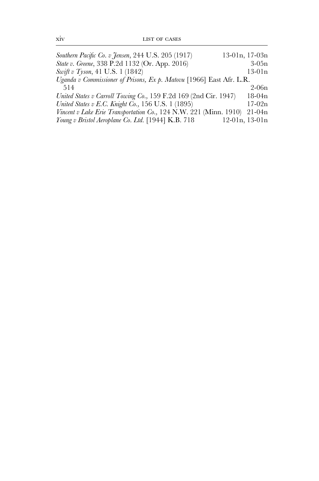| Southern Pacific Co. v Jensen, 244 U.S. 205 (1917)                   | 13-01n, 17-03n      |
|----------------------------------------------------------------------|---------------------|
| State v. Greene, 338 P.2d 1132 (Or. App. 2016)                       | $3-0.5n$            |
| Swift v Tyson, 41 U.S. 1 (1842)                                      | 13-01n              |
| Uganda v Commissioner of Prisons, Ex p. Matovu [1966] East Afr. L.R. |                     |
| 514                                                                  | $2-06n$             |
| United States v Carroll Towing Co., 159 F.2d 169 (2nd Cir. 1947)     | $18-04n$            |
| United States v E.C. Knight Co., 156 U.S. 1 (1895)                   | $17-02n$            |
| Vincent v Lake Erie Transportation Co., 124 N.W. 221 (Minn. 1910)    | $21-04n$            |
| Young v Bristol Aeroplane Co. Ltd. [1944] K.B. 718                   | $12-01n$ , $13-01n$ |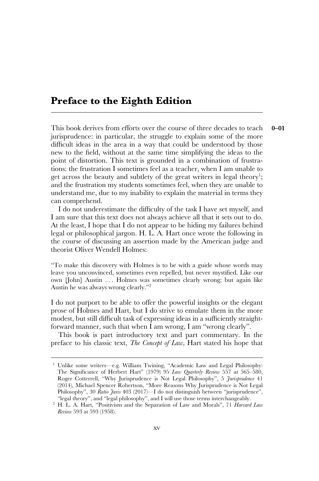### **Preface to the Eighth Edition**

This book derives from efforts over the course of three decades to teach jurisprudence: in particular, the struggle to explain some of the more difficult ideas in the area in a way that could be understood by those new to the field, without at the same time simplifying the ideas to the point of distortion. This text is grounded in a combination of frustrations: the frustration I sometimes feel as a teacher, when I am unable to get across the beauty and subtlety of the great writers in legal theory<sup>1</sup>; and the frustration my students sometimes feel, when they are unable to understand me, due to my inability to explain the material in terms they can comprehend. **0–01**

I do not underestimate the difficulty of the task I have set myself, and I am sure that this text does not always achieve all that it sets out to do. At the least, I hope that I do not appear to be hiding my failures behind legal or philosophical jargon. H. L. A. Hart once wrote the following in the course of discussing an assertion made by the American judge and theorist Oliver Wendell Holmes:

"To make this discovery with Holmes is to be with a guide whose words may leave you unconvinced, sometimes even repelled, but never mystified. Like our own [John] Austin . . . Holmes was sometimes clearly wrong; but again like Austin he was always wrong clearly."2

I do not purport to be able to offer the powerful insights or the elegant prose of Holmes and Hart, but I do strive to emulate them in the more modest, but still difficult task of expressing ideas in a sufficiently straightforward manner, such that when  $\overline{I}$  am wrong,  $\overline{I}$  am "wrong clearly".

This book is part introductory text and part commentary. In the preface to his classic text, *The Concept of Law,* Hart stated his hope that

<sup>1</sup> Unlike some writers—e.g*.* William Twining, "Academic Law and Legal Philosophy: The Significance of Herbert Hart" (1979) 95 *Law Quarterly Review* 557 at 565–580, Roger Cotterrell, "Why Jurisprudence is Not Legal Philosophy", 5 *Jurisprudence* 41 (2014), Michael Spencer Robertson, "More Reasons Why Jurisprudence is Not Legal Philosophy", 30 *Ratio Juris* 403 (2017)—I do not distinguish between "jurisprudence", "legal theory", and "legal philosophy", and I will use those terms interchangeably.

<sup>2</sup> H. L. A. Hart, "Positivism and the Separation of Law and Morals", 71 *Harvard Law Review* 593 at 593 (1958).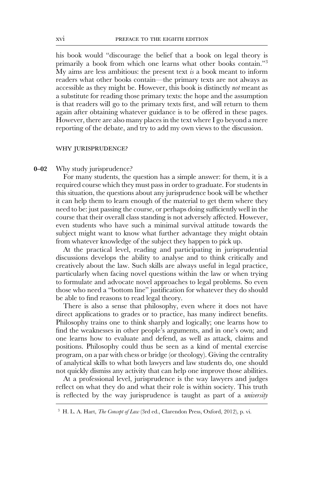his book would "discourage the belief that a book on legal theory is primarily a book from which one learns what other books contain."3 My aims are less ambitious: the present text *is* a book meant to inform readers what other books contain—the primary texts are not always as accessible as they might be. However, this book is distinctly *not* meant as a substitute for reading those primary texts: the hope and the assumption is that readers will go to the primary texts first, and will return to them again after obtaining whatever guidance is to be offered in these pages. However, there are also many places in the text where I go beyond a mere reporting of the debate, and try to add my own views to the discussion.

#### why jurisprudence?

#### Why study jurisprudence? **0–02**

For many students, the question has a simple answer: for them, it is a required course which they must pass in order to graduate. For students in this situation, the questions about any jurisprudence book will be whether it can help them to learn enough of the material to get them where they need to be: just passing the course, or perhaps doing sufficiently well in the course that their overall class standing is not adversely affected. However, even students who have such a minimal survival attitude towards the subject might want to know what further advantage they might obtain from whatever knowledge of the subject they happen to pick up.

At the practical level, reading and participating in jurisprudential discussions develops the ability to analyse and to think critically and creatively about the law. Such skills are always useful in legal practice, particularly when facing novel questions within the law or when trying to formulate and advocate novel approaches to legal problems. So even those who need a "bottom line" justification for whatever they do should be able to find reasons to read legal theory.

There is also a sense that philosophy, even where it does not have direct applications to grades or to practice, has many indirect benefits. Philosophy trains one to think sharply and logically; one learns how to find the weaknesses in other people's arguments, and in one's own; and one learns how to evaluate and defend, as well as attack, claims and positions. Philosophy could thus be seen as a kind of mental exercise program, on a par with chess or bridge (or theology). Giving the centrality of analytical skills to what both lawyers and law students do, one should not quickly dismiss any activity that can help one improve those abilities.

At a professional level, jurisprudence is the way lawyers and judges reflect on what they do and what their role is within society. This truth is reflected by the way jurisprudence is taught as part of a *university* 

<sup>3</sup> H. L. A. Hart, *The Concept of Law* (3rd ed., Clarendon Press, Oxford, 2012), p. vi.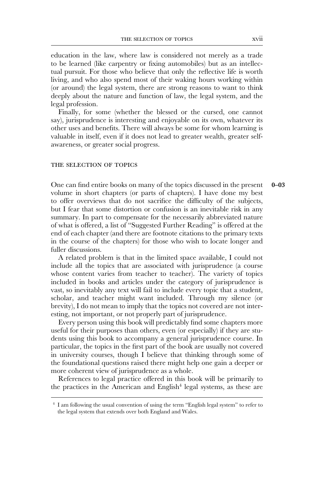education in the law, where law is considered not merely as a trade to be learned (like carpentry or fixing automobiles) but as an intellectual pursuit. For those who believe that only the reflective life is worth living, and who also spend most of their waking hours working within (or around) the legal system, there are strong reasons to want to think deeply about the nature and function of law, the legal system, and the legal profession.

Finally, for some (whether the blessed or the cursed, one cannot say), jurisprudence is interesting and enjoyable on its own, whatever its other uses and benefits. There will always be some for whom learning is valuable in itself, even if it does not lead to greater wealth, greater selfawareness, or greater social progress.

### THE SELECTION OF TOPICS

One can find entire books on many of the topics discussed in the present volume in short chapters (or parts of chapters). I have done my best to offer overviews that do not sacrifice the difficulty of the subjects, but I fear that some distortion or confusion is an inevitable risk in any summary. In part to compensate for the necessarily abbreviated nature of what is offered, a list of "Suggested Further Reading" is offered at the end of each chapter (and there are footnote citations to the primary texts in the course of the chapters) for those who wish to locate longer and fuller discussions. **0–03**

A related problem is that in the limited space available, I could not include all the topics that are associated with jurisprudence (a course whose content varies from teacher to teacher). The variety of topics included in books and articles under the category of jurisprudence is vast, so inevitably any text will fail to include every topic that a student, scholar, and teacher might want included. Through my silence (or brevity), I do not mean to imply that the topics not covered are not interesting, not important, or not properly part of jurisprudence.

Every person using this book will predictably find some chapters more useful for their purposes than others, even (or especially) if they are students using this book to accompany a general jurisprudence course. In particular, the topics in the first part of the book are usually not covered in university courses, though I believe that thinking through some of the foundational questions raised there might help one gain a deeper or more coherent view of jurisprudence as a whole.

References to legal practice offered in this book will be primarily to the practices in the American and English<sup>4</sup> legal systems, as these are

<sup>4</sup> I am following the usual convention of using the term "English legal system" to refer to the legal system that extends over both England and Wales.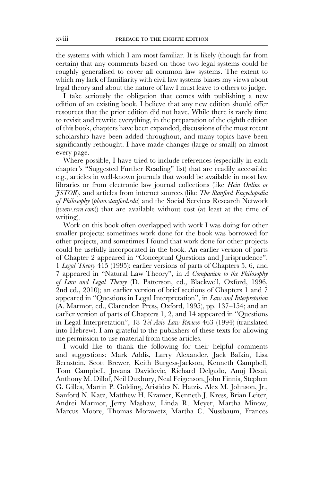the systems with which I am most familiar. It is likely (though far from certain) that any comments based on those two legal systems could be roughly generalised to cover all common law systems. The extent to which my lack of familiarity with civil law systems biases my views about legal theory and about the nature of law I must leave to others to judge.

I take seriously the obligation that comes with publishing a new edition of an existing book. I believe that any new edition should offer resources that the prior edition did not have. While there is rarely time to revisit and rewrite everything, in the preparation of the eighth edition of this book, chapters have been expanded, discussions of the most recent scholarship have been added throughout, and many topics have been significantly rethought. I have made changes (large or small) on almost every page.

Where possible, I have tried to include references (especially in each chapter's "Suggested Further Reading" list) that are readily accessible: e.g., articles in well-known journals that would be available in most law libraries or from electronic law journal collections (like *Hein Online or JSTOR*), and articles from internet sources (like *The Stanford Encyclopedia of Philosophy* (*plato.stanford.edu*) and the Social Services Research Network (*www.ssrn.com*)) that are available without cost (at least at the time of writing).

Work on this book often overlapped with work I was doing for other smaller projects: sometimes work done for the book was borrowed for other projects, and sometimes I found that work done for other projects could be usefully incorporated in the book. An earlier version of parts of Chapter 2 appeared in "Conceptual Questions and Jurisprudence", 1 *Legal Theory* 415 (1995); earlier versions of parts of Chapters 5, 6, and 7 appeared in "Natural Law Theory", in *A Companion to the Philosophy of Law and Legal Theory* (D. Patterson, ed., Blackwell, Oxford, 1996, 2nd ed., 2010); an earlier version of brief sections of Chapters 1 and 7 appeared in "Questions in Legal Interpretation", in *Law and Interpretation*  (A. Marmor, ed., Clarendon Press, Oxford, 1995), pp. 137–154; and an earlier version of parts of Chapters 1, 2, and 14 appeared in "Questions in Legal Interpretation", 18 *Tel Aviv Law Review* 463 (1994) (translated into Hebrew). I am grateful to the publishers of these texts for allowing me permission to use material from those articles.

I would like to thank the following for their helpful comments and suggestions: Mark Addis, Larry Alexander, Jack Balkin, Lisa Bernstein, Scott Brewer, Keith Burgess-Jackson, Kenneth Campbell, Tom Campbell, Jovana Davidovic, Richard Delgado, Anuj Desai, Anthony M. Dillof, Neil Duxbury, Neal Feigenson, John Finnis, Stephen G. Gilles, Martin P. Golding, Aristides N. Hatzis, Alex M. Johnson, Jr., Sanford N. Katz, Matthew H. Kramer, Kenneth J. Kress, Brian Leiter, Andrei Marmor, Jerry Mashaw, Linda R. Meyer, Martha Minow, Marcus Moore, Thomas Morawetz, Martha C. Nussbaum, Frances